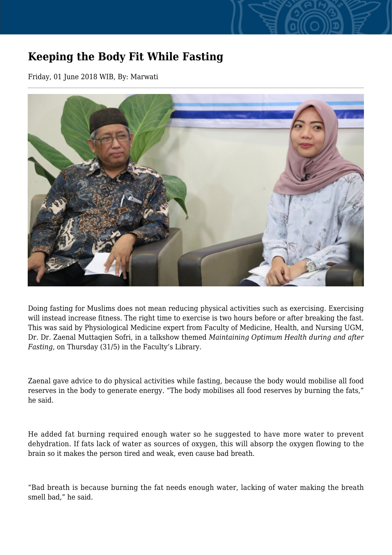## **Keeping the Body Fit While Fasting**

Friday, 01 June 2018 WIB, By: Marwati



Doing fasting for Muslims does not mean reducing physical activities such as exercising. Exercising will instead increase fitness. The right time to exercise is two hours before or after breaking the fast. This was said by Physiological Medicine expert from Faculty of Medicine, Health, and Nursing UGM, Dr. Dr. Zaenal Muttaqien Sofri, in a talkshow themed *Maintaining Optimum Health during and after Fasting*, on Thursday (31/5) in the Faculty's Library.

Zaenal gave advice to do physical activities while fasting, because the body would mobilise all food reserves in the body to generate energy. "The body mobilises all food reserves by burning the fats," he said.

He added fat burning required enough water so he suggested to have more water to prevent dehydration. If fats lack of water as sources of oxygen, this will absorp the oxygen flowing to the brain so it makes the person tired and weak, even cause bad breath.

"Bad breath is because burning the fat needs enough water, lacking of water making the breath smell bad," he said.